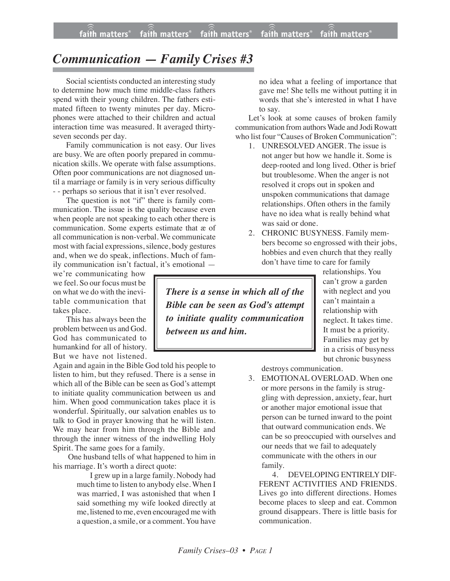## *Communication — Family Crises #3*

Social scientists conducted an interesting study to determine how much time middle-class fathers spend with their young children. The fathers estimated fifteen to twenty minutes per day. Microphones were attached to their children and actual interaction time was measured. It averaged thirtyseven seconds per day.

Family communication is not easy. Our lives are busy. We are often poorly prepared in communication skills. We operate with false assumptions. Often poor communications are not diagnosed until a marriage or family is in very serious difficulty - - perhaps so serious that it isn't ever resolved.

The question is not "if" there is family communication. The issue is the quality because even when people are not speaking to each other there is communication. Some experts estimate that æ of all communication is non-verbal. We communicate most with facial expressions, silence, body gestures and, when we do speak, inflections. Much of family communication isn't factual, it's emotional —

we're communicating how we feel. So our focus must be on what we do with the inevitable communication that takes place.

This has always been the problem between us and God. God has communicated to humankind for all of history. But we have not listened.

Again and again in the Bible God told his people to listen to him, but they refused. There is a sense in which all of the Bible can be seen as God's attempt to initiate quality communication between us and him. When good communication takes place it is wonderful. Spiritually, our salvation enables us to talk to God in prayer knowing that he will listen. We may hear from him through the Bible and through the inner witness of the indwelling Holy Spirit. The same goes for a family.

One husband tells of what happened to him in his marriage. It's worth a direct quote:

> I grew up in a large family. Nobody had much time to listen to anybody else. When I was married, I was astonished that when I said something my wife looked directly at me, listened to me, even encouraged me with a question, a smile, or a comment. You have

no idea what a feeling of importance that gave me! She tells me without putting it in words that she's interested in what I have to say.

Let's look at some causes of broken family communication from authors Wade and Jodi Rowatt who list four "Causes of Broken Communication":

- 1. UNRESOLVED ANGER. The issue is not anger but how we handle it. Some is deep-rooted and long lived. Other is brief but troublesome. When the anger is not resolved it crops out in spoken and unspoken communications that damage relationships. Often others in the family have no idea what is really behind what was said or done.
- 2. CHRONIC BUSYNESS. Family members become so engrossed with their jobs, hobbies and even church that they really don't have time to care for family

*There is a sense in which all of the Bible can be seen as God's attempt to initiate quality communication between us and him.*

relationships. You can't grow a garden with neglect and you can't maintain a relationship with neglect. It takes time. It must be a priority. Families may get by in a crisis of busyness but chronic busyness

destroys communication.

3. EMOTIONAL OVERLOAD. When one or more persons in the family is struggling with depression, anxiety, fear, hurt or another major emotional issue that person can be turned inward to the point that outward communication ends. We can be so preoccupied with ourselves and our needs that we fail to adequately communicate with the others in our family.

4. DEVELOPING ENTIRELY DIF-FERENT ACTIVITIES AND FRIENDS. Lives go into different directions. Homes become places to sleep and eat. Common ground disappears. There is little basis for communication.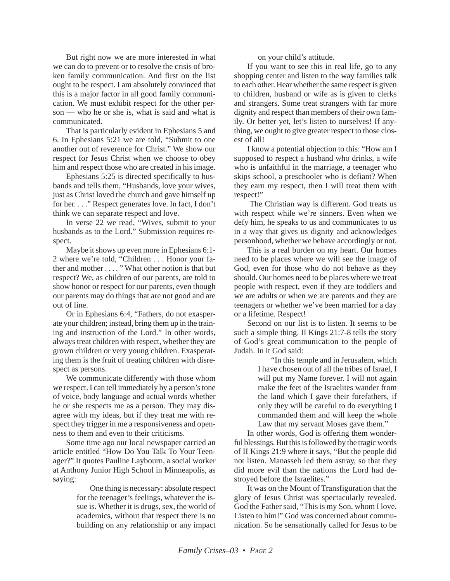But right now we are more interested in what we can do to prevent or to resolve the crisis of broken family communication. And first on the list ought to be respect. I am absolutely convinced that this is a major factor in all good family communication. We must exhibit respect for the other person — who he or she is, what is said and what is communicated.

That is particularly evident in Ephesians 5 and 6. In Ephesians 5:21 we are told, "Submit to one another out of reverence for Christ." We show our respect for Jesus Christ when we choose to obey him and respect those who are created in his image.

Ephesians 5:25 is directed specifically to husbands and tells them, "Husbands, love your wives, just as Christ loved the church and gave himself up for her. . . ." Respect generates love. In fact, I don't think we can separate respect and love.

In verse 22 we read, "Wives, submit to your husbands as to the Lord." Submission requires respect.

Maybe it shows up even more in Ephesians 6:1- 2 where we're told, "Children . . . Honor your father and mother . . . . " What other notion is that but respect? We, as children of our parents, are told to show honor or respect for our parents, even though our parents may do things that are not good and are out of line.

Or in Ephesians 6:4, "Fathers, do not exasperate your children; instead, bring them up in the training and instruction of the Lord." In other words, always treat children with respect, whether they are grown children or very young children. Exasperating them is the fruit of treating children with disrespect as persons.

We communicate differently with those whom we respect. I can tell immediately by a person's tone of voice, body language and actual words whether he or she respects me as a person. They may disagree with my ideas, but if they treat me with respect they trigger in me a responsiveness and openness to them and even to their criticisms.

Some time ago our local newspaper carried an article entitled "How Do You Talk To Your Teenager?" It quotes Pauline Laybourn, a social worker at Anthony Junior High School in Minneapolis, as saying:

> One thing is necessary: absolute respect for the teenager's feelings, whatever the issue is. Whether it is drugs, sex, the world of academics, without that respect there is no building on any relationship or any impact

on your child's attitude.

If you want to see this in real life, go to any shopping center and listen to the way families talk to each other. Hear whether the same respect is given to children, husband or wife as is given to clerks and strangers. Some treat strangers with far more dignity and respect than members of their own family. Or better yet, let's listen to ourselves! If anything, we ought to give greater respect to those closest of all!

I know a potential objection to this: "How am I supposed to respect a husband who drinks, a wife who is unfaithful in the marriage, a teenager who skips school, a preschooler who is defiant? When they earn my respect, then I will treat them with respect!"

The Christian way is different. God treats us with respect while we're sinners. Even when we defy him, he speaks to us and communicates to us in a way that gives us dignity and acknowledges personhood, whether we behave accordingly or not.

This is a real burden on my heart. Our homes need to be places where we will see the image of God, even for those who do not behave as they should. Our homes need to be places where we treat people with respect, even if they are toddlers and we are adults or when we are parents and they are teenagers or whether we've been married for a day or a lifetime. Respect!

Second on our list is to listen. It seems to be such a simple thing. II Kings 21:7-8 tells the story of God's great communication to the people of Judah. In it God said:

> "In this temple and in Jerusalem, which I have chosen out of all the tribes of Israel, I will put my Name forever. I will not again make the feet of the Israelites wander from the land which I gave their forefathers, if only they will be careful to do everything I commanded them and will keep the whole Law that my servant Moses gave them."

In other words, God is offering them wonderful blessings. But this is followed by the tragic words of II Kings 21:9 where it says, "But the people did not listen. Manasseh led them astray, so that they did more evil than the nations the Lord had destroyed before the Israelites*.*"

It was on the Mount of Transfiguration that the glory of Jesus Christ was spectacularly revealed. God the Father said, "This is my Son, whom I love. Listen to him!" God was concerned about communication. So he sensationally called for Jesus to be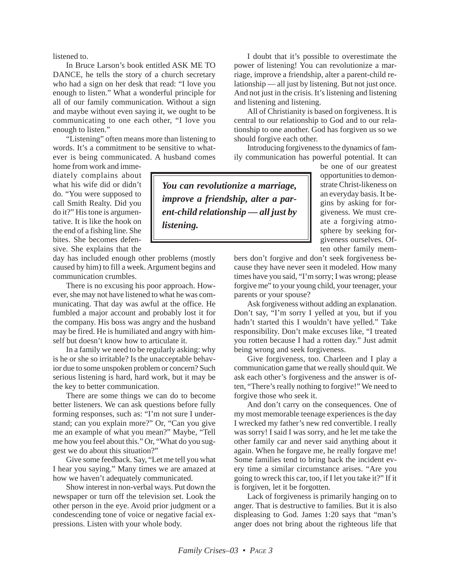listened to.

In Bruce Larson's book entitled ASK ME TO DANCE, he tells the story of a church secretary who had a sign on her desk that read: "I love you enough to listen." What a wonderful principle for all of our family communication. Without a sign and maybe without even saying it, we ought to be communicating to one each other, "I love you enough to listen."

"Listening" often means more than listening to words. It's a commitment to be sensitive to whatever is being communicated. A husband comes

home from work and immediately complains about what his wife did or didn't do. "You were supposed to call Smith Realty. Did you do it?" His tone is argumentative. It is like the hook on the end of a fishing line. She bites. She becomes defensive. She explains that the

day has included enough other problems (mostly caused by him) to fill a week. Argument begins and communication crumbles.

There is no excusing his poor approach. However, she may not have listened to what he was communicating. That day was awful at the office. He fumbled a major account and probably lost it for the company. His boss was angry and the husband may be fired. He is humiliated and angry with himself but doesn't know how to articulate it.

In a family we need to be regularly asking: why is he or she so irritable? Is the unacceptable behavior due to some unspoken problem or concern? Such serious listening is hard, hard work, but it may be the key to better communication.

There are some things we can do to become better listeners. We can ask questions before fully forming responses, such as: "I'm not sure I understand; can you explain more?" Or, "Can you give me an example of what you mean?" Maybe, "Tell me how you feel about this." Or, "What do you suggest we do about this situation?"

Give some feedback. Say, "Let me tell you what I hear you saying." Many times we are amazed at how we haven't adequately communicated.

Show interest in non-verbal ways. Put down the newspaper or turn off the television set. Look the other person in the eye. Avoid prior judgment or a condescending tone of voice or negative facial expressions. Listen with your whole body.

I doubt that it's possible to overestimate the power of listening! You can revolutionize a marriage, improve a friendship, alter a parent-child relationship — all just by listening. But not just once. And not just in the crisis. It's listening and listening and listening and listening.

All of Christianity is based on forgiveness. It is central to our relationship to God and to our relationship to one another. God has forgiven us so we should forgive each other.

Introducing forgiveness to the dynamics of family communication has powerful potential. It can

*You can revolutionize a marriage, improve a friendship, alter a parent-child relationship — all just by listening.*

be one of our greatest opportunities to demonstrate Christ-likeness on an everyday basis. It begins by asking for forgiveness. We must create a forgiving atmosphere by seeking forgiveness ourselves. Often other family mem-

bers don't forgive and don't seek forgiveness because they have never seen it modeled. How many times have you said, "I'm sorry; I was wrong; please forgive me" to your young child, your teenager, your parents or your spouse?

Ask forgiveness without adding an explanation. Don't say, "I'm sorry I yelled at you, but if you hadn't started this I wouldn't have yelled." Take responsibility. Don't make excuses like, "I treated you rotten because I had a rotten day." Just admit being wrong and seek forgiveness.

Give forgiveness, too. Charleen and I play a communication game that we really should quit. We ask each other's forgiveness and the answer is often, "There's really nothing to forgive!" We need to forgive those who seek it.

And don't carry on the consequences. One of my most memorable teenage experiences is the day I wrecked my father's new red convertible. I really was sorry! I said I was sorry, and he let me take the other family car and never said anything about it again. When he forgave me, he really forgave me! Some families tend to bring back the incident every time a similar circumstance arises. "Are you going to wreck this car, too, if I let you take it?" If it is forgiven, let it be forgotten.

Lack of forgiveness is primarily hanging on to anger. That is destructive to families. But it is also displeasing to God. James 1:20 says that "man's anger does not bring about the righteous life that